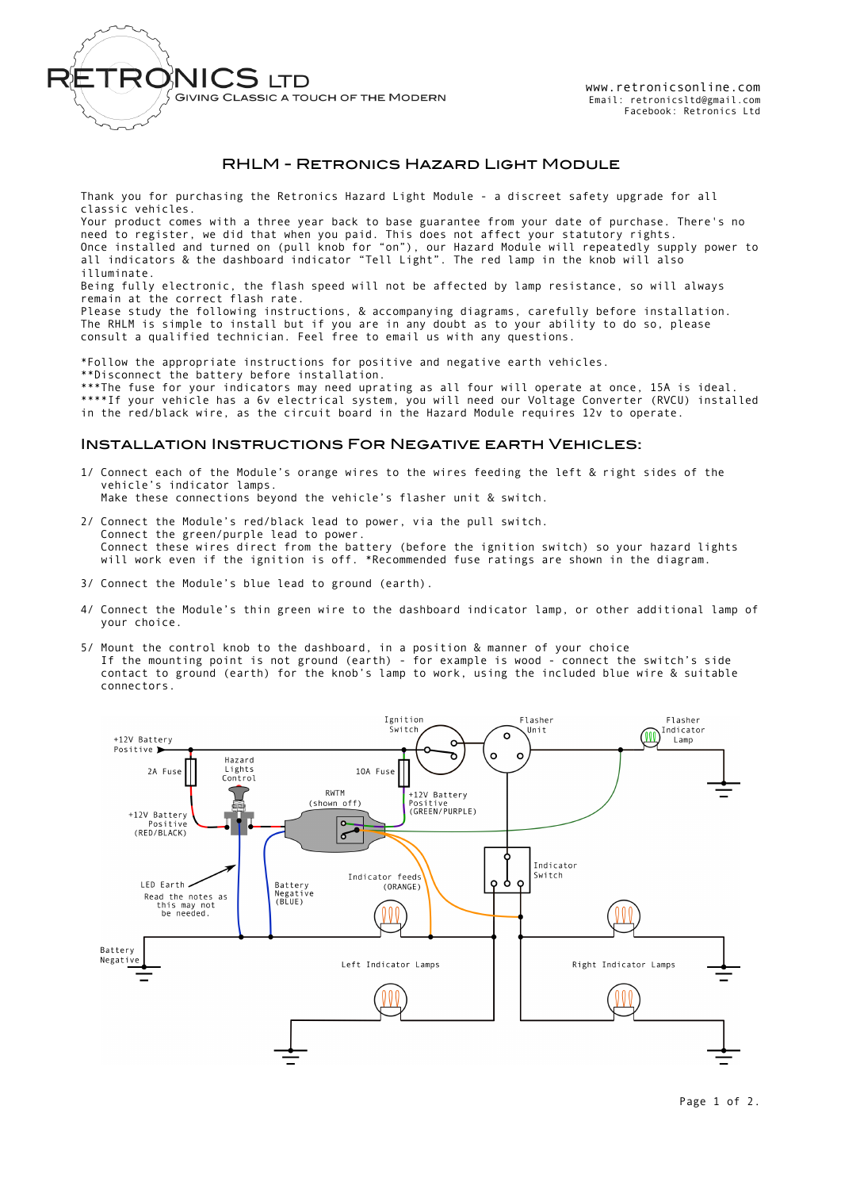

# RHLM - Retronics Hazard Light Module

Thank you for purchasing the Retronics Hazard Light Module - a discreet safety upgrade for all classic vehicles.

Your product comes with a three year back to base guarantee from your date of purchase. There's no need to register, we did that when you paid. This does not affect your statutory rights. Once installed and turned on (pull knob for "on"), our Hazard Module will repeatedly supply power to all indicators & the dashboard indicator "Tell Light". The red lamp in the knob will also illuminate.

Being fully electronic, the flash speed will not be affected by lamp resistance, so will always remain at the correct flash rate.

Please study the following instructions, & accompanying diagrams, carefully before installation. The RHLM is simple to install but if you are in any doubt as to your ability to do so, please consult a qualified technician. Feel free to email us with any questions.

\*Follow the appropriate instructions for positive and negative earth vehicles. \*\*Disconnect the battery before installation.

\*\*\*The fuse for your indicators may need uprating as all four will operate at once, 15A is ideal. \*\*\*\*If your vehicle has a 6v electrical system, you will need our Voltage Converter (RVCU) installed in the red/black wire, as the circuit board in the Hazard Module requires 12v to operate.

### Installation Instructions For Negative earth Vehicles:

- 1/ Connect each of the Module's orange wires to the wires feeding the left & right sides of the vehicle's indicator lamps. Make these connections beyond the vehicle's flasher unit & switch.
- 2/ Connect the Module's red/black lead to power, via the pull switch. Connect the green/purple lead to power. Connect these wires direct from the battery (before the ignition switch) so your hazard lights will work even if the ignition is off. \*Recommended fuse ratings are shown in the diagram.
- 3/ Connect the Module's blue lead to ground (earth).
- 4/ Connect the Module's thin green wire to the dashboard indicator lamp, or other additional lamp of your choice.
- 5/ Mount the control knob to the dashboard, in a position & manner of your choice If the mounting point is not ground (earth) - for example is wood - connect the switch's side contact to ground (earth) for the knob's lamp to work, using the included blue wire & suitable connectors.